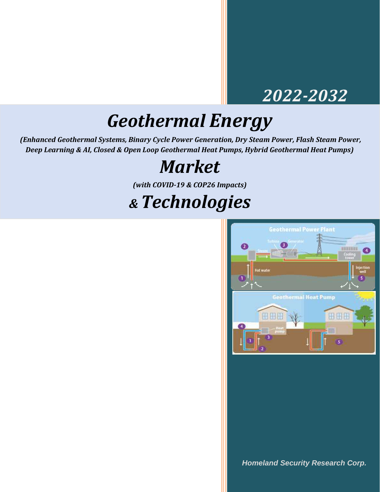### *2022-2032*

# *Geothermal Energy*

*(Enhanced Geothermal Systems, Binary Cycle Power Generation, Dry Steam Power, Flash Steam Power, Deep Learning & AI, Closed & Open Loop Geothermal Heat Pumps, Hybrid Geothermal Heat Pumps)*

## *Market*

*(with COVID-19 & COP26 Impacts)*

## *& Technologies*



*Homeland Security Research Corp.*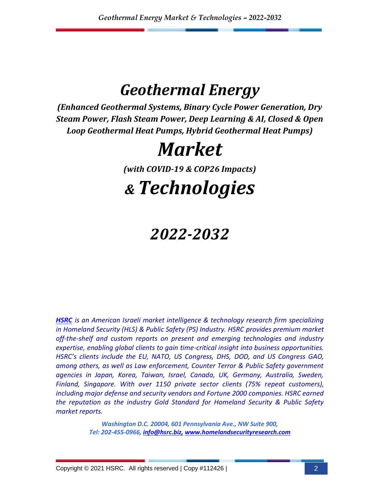### *Geothermal Energy*

*(Enhanced Geothermal Systems, Binary Cycle Power Generation, Dry Steam Power, Flash Steam Power, Deep Learning & AI, Closed & Open Loop Geothermal Heat Pumps, Hybrid Geothermal Heat Pumps)* 

# *Market*

*(with COVID-19 & COP26 Impacts)*

# *& Technologies*

### *2022-2032*

*[HSRC](http://www.homelandsecurityresearch.com/) is an American Israeli market intelligence & technology research firm specializing in Homeland Security (HLS) & Public Safety (PS) Industry. HSRC provides premium market off-the-shelf and custom reports on present and emerging technologies and industry expertise, enabling global clients to gain time-critical insight into business opportunities. HSRC's clients include the EU, NATO, US Congress, DHS, DOD, and US Congress GAO, among others, as well as Law enforcement, Counter Terror & Public Safety government agencies in Japan, Korea, Taiwan, Israel, Canada, UK, Germany, Australia, Sweden, Finland, Singapore. With over 1150 private sector clients (75% repeat customers), including major defense and security vendors and Fortune 2000 companies. HSRC earned the reputation as the industry Gold Standard for Homeland Security & Public Safety market reports.*

> *Washington D.C. 20004, 601 Pennsylvania Ave., NW Suite 900, Tel: 202-455-0966, [info@hsrc.biz,](mailto:info@hsrc.biz) [www.homelandsecurityresearch.com](http://www.homelandsecurityresearch.com/)*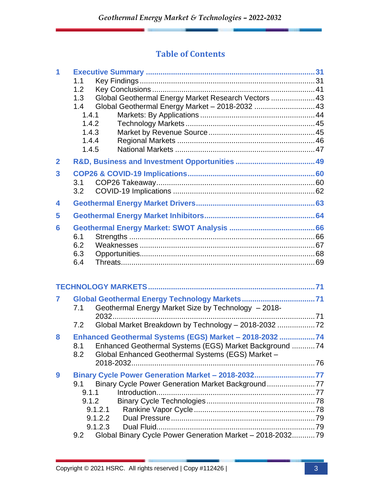#### **Table of Contents**

| 1                       | 1.1<br>1.2<br>1.3<br>1.4<br>1.4.1<br>1.4.2<br>1.4.3<br>1.4.4<br>1.4.5 | Global Geothermal Energy Market Research Vectors  43<br>Global Geothermal Energy Market - 2018-2032  43 |  |
|-------------------------|-----------------------------------------------------------------------|---------------------------------------------------------------------------------------------------------|--|
| $\overline{2}$          |                                                                       |                                                                                                         |  |
| 3                       |                                                                       |                                                                                                         |  |
|                         | 3.1                                                                   |                                                                                                         |  |
|                         | 3.2                                                                   |                                                                                                         |  |
| $\overline{\mathbf{4}}$ |                                                                       |                                                                                                         |  |
| 5                       |                                                                       |                                                                                                         |  |
| 6                       |                                                                       |                                                                                                         |  |
|                         | 6.1                                                                   |                                                                                                         |  |
|                         | 6.2                                                                   |                                                                                                         |  |
|                         | 6.3                                                                   |                                                                                                         |  |
|                         | 6.4                                                                   |                                                                                                         |  |
|                         |                                                                       |                                                                                                         |  |
| 7                       |                                                                       |                                                                                                         |  |
|                         | 7.1                                                                   | Geothermal Energy Market Size by Technology - 2018-                                                     |  |
|                         |                                                                       |                                                                                                         |  |
|                         | 7.2                                                                   | Global Market Breakdown by Technology - 2018-2032  72                                                   |  |
| 8                       |                                                                       | Enhanced Geothermal Systems (EGS) Market - 2018-2032 74                                                 |  |
|                         | 8.1                                                                   | Enhanced Geothermal Systems (EGS) Market Background 74                                                  |  |
|                         | 8.2                                                                   | Global Enhanced Geothermal Systems (EGS) Market -                                                       |  |
|                         |                                                                       |                                                                                                         |  |
| 9                       |                                                                       | Binary Cycle Power Generation Market - 2018-203277                                                      |  |
|                         | 9.1                                                                   | Binary Cycle Power Generation Market Background                                                         |  |
|                         | 9.1.1                                                                 |                                                                                                         |  |
|                         | 9.1.2                                                                 |                                                                                                         |  |
|                         |                                                                       | 9.1.2.1                                                                                                 |  |
|                         |                                                                       | 9.1.2.2                                                                                                 |  |
|                         |                                                                       | 9.1.2.3                                                                                                 |  |
|                         | 9.2                                                                   | Global Binary Cycle Power Generation Market - 2018-203279                                               |  |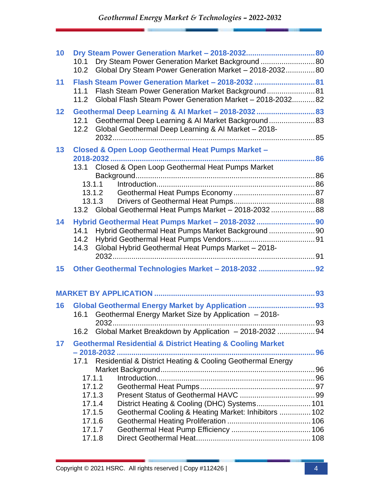| 10 | Dry Steam Power Generation Market Background  80<br>10.1<br>Global Dry Steam Power Generation Market - 2018-2032 80<br>10.2                                                                                    |  |
|----|----------------------------------------------------------------------------------------------------------------------------------------------------------------------------------------------------------------|--|
| 11 | Flash Steam Power Generation Market - 2018-2032  81<br>Flash Steam Power Generation Market Background 81<br>11.1<br>Global Flash Steam Power Generation Market - 2018-203282<br>11.2                           |  |
| 12 | Geothermal Deep Learning & Al Market - 2018-2032  83<br>Geothermal Deep Learning & Al Market Background 83<br>12.1<br>Global Geothermal Deep Learning & Al Market - 2018-<br>12.2                              |  |
| 13 | <b>Closed &amp; Open Loop Geothermal Heat Pumps Market -</b><br>13.1 Closed & Open Loop Geothermal Heat Pumps Market<br>13.1.1<br>13.1.2<br>13.1.3<br>13.2 Global Geothermal Heat Pumps Market - 2018-2032  88 |  |
| 14 | Hybrid Geothermal Heat Pumps Market - 2018-2032  90<br>Hybrid Geothermal Heat Pumps Market Background 90<br>14.1<br>14.2<br>Global Hybrid Geothermal Heat Pumps Market - 2018-<br>14.3                         |  |
| 15 | Other Geothermal Technologies Market - 2018-2032  92                                                                                                                                                           |  |
|    |                                                                                                                                                                                                                |  |
| 16 | Global Geothermal Energy Market by Application  93<br>Geothermal Energy Market Size by Application - 2018-<br>16.1<br>Global Market Breakdown by Application - 2018-2032  94<br>16.2                           |  |
| 17 | <b>Geothermal Residential &amp; District Heating &amp; Cooling Market</b><br>Residential & District Heating & Cooling Geothermal Energy<br>17.1                                                                |  |
|    | 17.1.1<br>17.1.2<br>17.1.3<br>District Heating & Cooling (DHC) Systems 101<br>17.1.4<br>Geothermal Cooling & Heating Market: Inhibitors  102<br>17.1.5<br>17.1.6<br>17.1.7<br>17.1.8                           |  |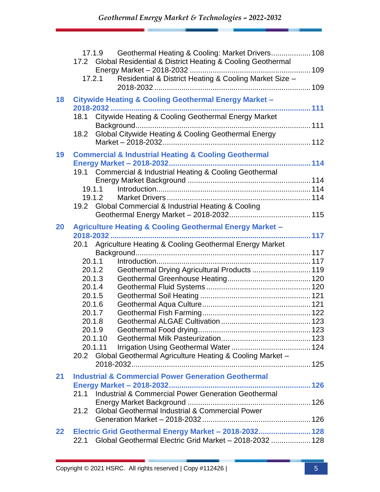|                   | Geothermal Heating & Cooling: Market Drivers 108<br>17.1.9<br>17.2 Global Residential & District Heating & Cooling Geothermal<br>Residential & District Heating & Cooling Market Size -<br>17.2.1                                                                                                                                                                      |  |
|-------------------|------------------------------------------------------------------------------------------------------------------------------------------------------------------------------------------------------------------------------------------------------------------------------------------------------------------------------------------------------------------------|--|
| 18                | <b>Citywide Heating &amp; Cooling Geothermal Energy Market -</b><br>Citywide Heating & Cooling Geothermal Energy Market<br>18.1<br>Global Citywide Heating & Cooling Geothermal Energy<br>18.2                                                                                                                                                                         |  |
| 19                | <b>Commercial &amp; Industrial Heating &amp; Cooling Geothermal</b><br>19.1 Commercial & Industrial Heating & Cooling Geothermal<br>19.1.1<br>19.1.2<br>19.2 Global Commercial & Industrial Heating & Cooling                                                                                                                                                          |  |
| 20                | <b>Agriculture Heating &amp; Cooling Geothermal Energy Market -</b><br>20.1 Agriculture Heating & Cooling Geothermal Energy Market<br>20.1.1<br>Geothermal Drying Agricultural Products  119<br>20.1.2<br>20.1.3<br>20.1.4<br>20.1.5<br>20.1.6<br>20.1.7<br>20.1.8<br>20.1.9<br>20.1.10<br>20.1.11<br>Global Geothermal Agriculture Heating & Cooling Market -<br>20.2 |  |
| 21                | <b>Industrial &amp; Commercial Power Generation Geothermal</b><br>Industrial & Commercial Power Generation Geothermal<br>21.1<br><b>Global Geothermal Industrial &amp; Commercial Power</b><br>21.2                                                                                                                                                                    |  |
| $22 \overline{)}$ | Electric Grid Geothermal Energy Market - 2018-2032 128<br>Global Geothermal Electric Grid Market - 2018-2032  128<br>22.1                                                                                                                                                                                                                                              |  |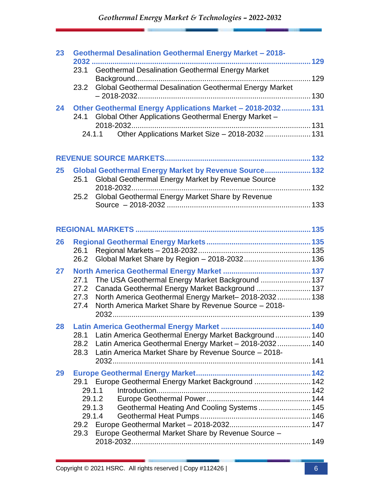*Geothermal Energy Market & Technologies – 2022-2032*

| 23 |              | <b>Geothermal Desalination Geothermal Energy Market - 2018-</b>                                         |  |
|----|--------------|---------------------------------------------------------------------------------------------------------|--|
|    | 2032         | 129                                                                                                     |  |
|    | 23.1         | <b>Geothermal Desalination Geothermal Energy Market</b>                                                 |  |
|    |              |                                                                                                         |  |
|    | 23.2         | Global Geothermal Desalination Geothermal Energy Market                                                 |  |
| 24 |              | Other Geothermal Energy Applications Market - 2018-2032 131                                             |  |
|    | 24.1         | Global Other Applications Geothermal Energy Market -                                                    |  |
|    |              |                                                                                                         |  |
|    |              | Other Applications Market Size - 2018-2032  131<br>24.1.1                                               |  |
|    |              |                                                                                                         |  |
|    |              |                                                                                                         |  |
| 25 |              | Global Geothermal Energy Market by Revenue Source 132                                                   |  |
|    | 25.1         | Global Geothermal Energy Market by Revenue Source                                                       |  |
|    |              |                                                                                                         |  |
|    | 25.2         | Global Geothermal Energy Market Share by Revenue                                                        |  |
|    |              |                                                                                                         |  |
|    |              |                                                                                                         |  |
|    |              |                                                                                                         |  |
|    |              |                                                                                                         |  |
| 26 | 26.1         |                                                                                                         |  |
|    | 26.2         |                                                                                                         |  |
|    |              |                                                                                                         |  |
| 27 |              |                                                                                                         |  |
|    | 27.1<br>27.2 | The USA Geothermal Energy Market Background  137                                                        |  |
|    | 27.3         | Canada Geothermal Energy Market Background  137<br>North America Geothermal Energy Market-2018-2032 138 |  |
|    | 27.4         | North America Market Share by Revenue Source - 2018-                                                    |  |
|    |              |                                                                                                         |  |
| 28 |              |                                                                                                         |  |
|    | 28.1         | Latin America Geothermal Energy Market Background 140                                                   |  |
|    | 28.2         | Latin America Geothermal Energy Market - 2018-2032 140                                                  |  |
|    | 28.3         | Latin America Market Share by Revenue Source - 2018-                                                    |  |
|    |              |                                                                                                         |  |
| 29 |              |                                                                                                         |  |
|    |              | 29.1 Europe Geothermal Energy Market Background  142                                                    |  |
|    |              | 29.1.1                                                                                                  |  |
|    |              | 29.1.2                                                                                                  |  |
|    |              | Geothermal Heating And Cooling Systems 145<br>29.1.3                                                    |  |
|    |              | 29.1.4                                                                                                  |  |
|    |              |                                                                                                         |  |
|    | 29.3         | Europe Geothermal Market Share by Revenue Source -                                                      |  |
|    |              |                                                                                                         |  |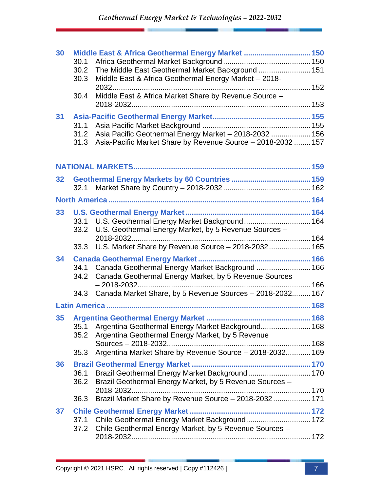| 30 |      | Middle East & Africa Geothermal Energy Market  150           |  |
|----|------|--------------------------------------------------------------|--|
|    | 30.1 |                                                              |  |
|    | 30.2 | The Middle East Geothermal Market Background  151            |  |
|    | 30.3 | Middle East & Africa Geothermal Energy Market - 2018-        |  |
|    |      |                                                              |  |
|    | 30.4 | Middle East & Africa Market Share by Revenue Source -        |  |
|    |      |                                                              |  |
| 31 |      |                                                              |  |
|    | 31.1 |                                                              |  |
|    | 31.2 | Asia Pacific Geothermal Energy Market - 2018-2032  156       |  |
|    | 31.3 | Asia-Pacific Market Share by Revenue Source - 2018-2032  157 |  |
|    |      |                                                              |  |
| 32 |      |                                                              |  |
|    | 32.1 |                                                              |  |
|    |      |                                                              |  |
|    |      |                                                              |  |
| 33 |      |                                                              |  |
|    |      | 33.1 U.S. Geothermal Energy Market Background 164            |  |
|    |      | 33.2 U.S. Geothermal Energy Market, by 5 Revenue Sources -   |  |
|    |      |                                                              |  |
|    |      | 33.3 U.S. Market Share by Revenue Source - 2018-2032 165     |  |
| 34 |      |                                                              |  |
|    | 34.1 | Canada Geothermal Energy Market Background  166              |  |
|    | 34.2 | Canada Geothermal Energy Market, by 5 Revenue Sources        |  |
|    |      |                                                              |  |
|    | 34.3 | Canada Market Share, by 5 Revenue Sources - 2018-2032 167    |  |
|    |      |                                                              |  |
| 35 |      |                                                              |  |
|    |      | 35.1 Argentina Geothermal Energy Market Background 168       |  |
|    | 35.2 | Argentina Geothermal Energy Market, by 5 Revenue             |  |
|    |      |                                                              |  |
|    | 35.3 | Argentina Market Share by Revenue Source - 2018-2032 169     |  |
| 36 |      |                                                              |  |
|    | 36.1 | Brazil Geothermal Energy Market Background 170               |  |
|    | 36.2 | Brazil Geothermal Energy Market, by 5 Revenue Sources -      |  |
|    |      |                                                              |  |
|    | 36.3 | Brazil Market Share by Revenue Source - 2018-2032 171        |  |
| 37 |      |                                                              |  |
|    |      | 37.1 Chile Geothermal Energy Market Background 172           |  |
|    |      | 37.2 Chile Geothermal Energy Market, by 5 Revenue Sources -  |  |
|    |      |                                                              |  |
|    |      |                                                              |  |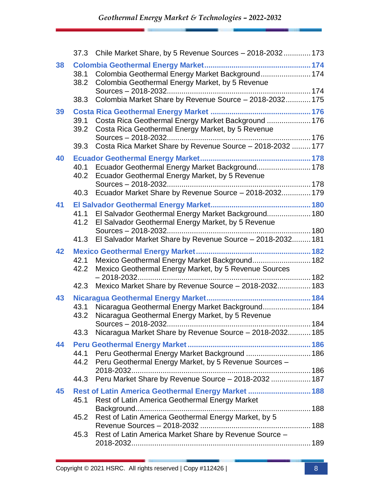|    |              | 37.3 Chile Market Share, by 5 Revenue Sources - 2018-2032  173                                                   |  |
|----|--------------|------------------------------------------------------------------------------------------------------------------|--|
| 38 | 38.1<br>38.2 | Colombia Geothermal Energy Market Background 174<br>Colombia Geothermal Energy Market, by 5 Revenue              |  |
|    | 38.3         | Colombia Market Share by Revenue Source - 2018-2032 175                                                          |  |
| 39 | 39.1<br>39.2 | Costa Rica Geothermal Energy Market Background  176<br>Costa Rica Geothermal Energy Market, by 5 Revenue         |  |
|    | 39.3         | Costa Rica Market Share by Revenue Source - 2018-2032  177                                                       |  |
| 40 | 40.2         | 40.1 Ecuador Geothermal Energy Market Background 178<br>Ecuador Geothermal Energy Market, by 5 Revenue           |  |
|    |              | 40.3 Ecuador Market Share by Revenue Source - 2018-2032 179                                                      |  |
| 41 | 41.2         | 41.1 El Salvador Geothermal Energy Market Background 180<br>El Salvador Geothermal Energy Market, by 5 Revenue   |  |
|    |              | 41.3 El Salvador Market Share by Revenue Source - 2018-2032 181                                                  |  |
| 42 | 42.1<br>42.2 | Mexico Geothermal Energy Market Background 182<br>Mexico Geothermal Energy Market, by 5 Revenue Sources          |  |
|    | 42.3         | Mexico Market Share by Revenue Source - 2018-2032 183                                                            |  |
| 43 | 43.1<br>43.2 | Nicaragua Geothermal Energy Market Background 184<br>Nicaragua Geothermal Energy Market, by 5 Revenue            |  |
|    | 43.3         | Nicaragua Market Share by Revenue Source - 2018-2032 185                                                         |  |
| 44 |              | 44.1 Peru Geothermal Energy Market Background  186<br>44.2 Peru Geothermal Energy Market, by 5 Revenue Sources - |  |
|    | 44.3         | Peru Market Share by Revenue Source - 2018-2032  187                                                             |  |
| 45 | 45.1         | Rest of Latin America Geothermal Energy Market  188<br>Rest of Latin America Geothermal Energy Market            |  |
|    | 45.2         | Rest of Latin America Geothermal Energy Market, by 5                                                             |  |
|    | 45.3         | Rest of Latin America Market Share by Revenue Source -                                                           |  |
|    |              |                                                                                                                  |  |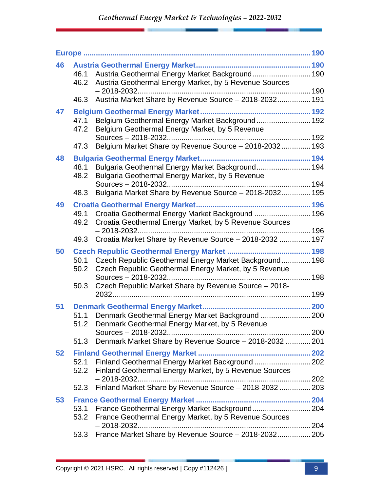| 46 |                      | 46.1 Austria Geothermal Energy Market Background 190<br>46.2 Austria Geothermal Energy Market, by 5 Revenue Sources                                                      |  |
|----|----------------------|--------------------------------------------------------------------------------------------------------------------------------------------------------------------------|--|
|    | 46.3                 | Austria Market Share by Revenue Source - 2018-2032 191                                                                                                                   |  |
| 47 | 47.1<br>47.2         | Belgium Geothermal Energy Market Background 192<br>Belgium Geothermal Energy Market, by 5 Revenue                                                                        |  |
|    | 47.3                 | Belgium Market Share by Revenue Source - 2018-2032 193                                                                                                                   |  |
| 48 | 48.1<br>48.2         | Bulgaria Geothermal Energy Market Background 194<br>Bulgaria Geothermal Energy Market, by 5 Revenue                                                                      |  |
|    | 48.3                 | Bulgaria Market Share by Revenue Source - 2018-2032 195                                                                                                                  |  |
| 49 | 49.1<br>49.2         | Croatia Geothermal Energy Market Background  196<br>Croatia Geothermal Energy Market, by 5 Revenue Sources                                                               |  |
|    | 49.3                 | Croatia Market Share by Revenue Source - 2018-2032  197                                                                                                                  |  |
| 50 | 50.1<br>50.2<br>50.3 | Czech Republic Geothermal Energy Market Background 198<br>Czech Republic Geothermal Energy Market, by 5 Revenue<br>Czech Republic Market Share by Revenue Source - 2018- |  |
|    |                      |                                                                                                                                                                          |  |
| 51 | 51.1<br>51.2         | Denmark Geothermal Energy Market Background  200<br>Denmark Geothermal Energy Market, by 5 Revenue                                                                       |  |
|    | 51.3                 | Denmark Market Share by Revenue Source - 2018-2032  201                                                                                                                  |  |
| 52 | 52.1<br>52.2         | Finland Geothermal Energy Market Background  202<br>Finland Geothermal Energy Market, by 5 Revenue Sources                                                               |  |
|    | 52.3                 | Finland Market Share by Revenue Source - 2018-2032  203                                                                                                                  |  |
| 53 | 53.1<br>53.2         | France Geothermal Energy Market, by 5 Revenue Sources                                                                                                                    |  |
|    | 53.3                 | France Market Share by Revenue Source - 2018-2032 205                                                                                                                    |  |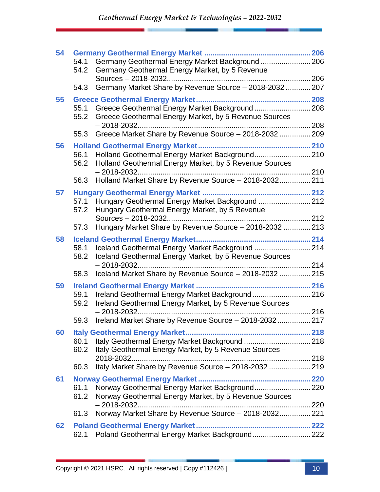| 54 |              |                                                                                                               |  |
|----|--------------|---------------------------------------------------------------------------------------------------------------|--|
|    | 54.1<br>54.2 | Germany Geothermal Energy Market Background  206<br>Germany Geothermal Energy Market, by 5 Revenue            |  |
|    |              |                                                                                                               |  |
|    | 54.3         | Germany Market Share by Revenue Source - 2018-2032  207                                                       |  |
| 55 |              |                                                                                                               |  |
|    | 55.2         | 55.1 Greece Geothermal Energy Market Background  208<br>Greece Geothermal Energy Market, by 5 Revenue Sources |  |
|    | 55.3         | Greece Market Share by Revenue Source - 2018-2032  209                                                        |  |
|    |              |                                                                                                               |  |
| 56 | 56.1         | Holland Geothermal Energy Market Background 210                                                               |  |
|    | 56.2         | Holland Geothermal Energy Market, by 5 Revenue Sources                                                        |  |
|    | 56.3         | Holland Market Share by Revenue Source - 2018-2032 211                                                        |  |
| 57 |              |                                                                                                               |  |
|    | 57.1         | Hungary Geothermal Energy Market Background  212                                                              |  |
|    | 57.2         | Hungary Geothermal Energy Market, by 5 Revenue                                                                |  |
|    | 57.3         | Hungary Market Share by Revenue Source - 2018-2032  213                                                       |  |
| 58 |              |                                                                                                               |  |
|    | 58.1         | Iceland Geothermal Energy Market Background  214                                                              |  |
|    | 58.2         | Iceland Geothermal Energy Market, by 5 Revenue Sources                                                        |  |
|    |              |                                                                                                               |  |
|    | 58.3         | Iceland Market Share by Revenue Source - 2018-2032  215                                                       |  |
| 59 |              |                                                                                                               |  |
|    | 59.1         | Ireland Geothermal Energy Market Background 216                                                               |  |
|    | 59.2         | Ireland Geothermal Energy Market, by 5 Revenue Sources                                                        |  |
|    | 59.3         | Ireland Market Share by Revenue Source - 2018-2032 217                                                        |  |
| 60 |              |                                                                                                               |  |
|    | 60.1         |                                                                                                               |  |
|    | 60.2         | Italy Geothermal Energy Market, by 5 Revenue Sources -                                                        |  |
|    |              |                                                                                                               |  |
|    | 60.3         | Italy Market Share by Revenue Source - 2018-2032  219                                                         |  |
| 61 |              |                                                                                                               |  |
|    | 61.1         | Norway Geothermal Energy Market Background 220                                                                |  |
|    | 61.2         | Norway Geothermal Energy Market, by 5 Revenue Sources                                                         |  |
|    | 61.3         | Norway Market Share by Revenue Source - 2018-2032 221                                                         |  |
|    |              |                                                                                                               |  |
| 62 |              |                                                                                                               |  |
|    | 62.1         | Poland Geothermal Energy Market Background 222                                                                |  |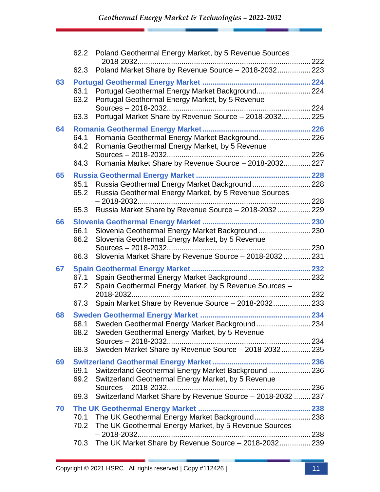|    |              | 62.2 Poland Geothermal Energy Market, by 5 Revenue Sources                                              |  |
|----|--------------|---------------------------------------------------------------------------------------------------------|--|
|    | 62.3         | Poland Market Share by Revenue Source - 2018-2032 223                                                   |  |
| 63 |              |                                                                                                         |  |
|    | 63.1<br>63.2 | Portugal Geothermal Energy Market Background 224<br>Portugal Geothermal Energy Market, by 5 Revenue     |  |
|    |              |                                                                                                         |  |
|    | 63.3         | Portugal Market Share by Revenue Source - 2018-2032 225                                                 |  |
| 64 | 64.1<br>64.2 | Romania Geothermal Energy Market Background 226<br>Romania Geothermal Energy Market, by 5 Revenue       |  |
|    |              |                                                                                                         |  |
|    | 64.3         | Romania Market Share by Revenue Source - 2018-2032 227                                                  |  |
| 65 |              |                                                                                                         |  |
|    | 65.1<br>65.2 | Russia Geothermal Energy Market Background228<br>Russia Geothermal Energy Market, by 5 Revenue Sources  |  |
|    |              |                                                                                                         |  |
|    | 65.3         | Russia Market Share by Revenue Source - 2018-2032 229                                                   |  |
| 66 |              |                                                                                                         |  |
|    | 66.1<br>66.2 | Slovenia Geothermal Energy Market Background230<br>Slovenia Geothermal Energy Market, by 5 Revenue      |  |
|    |              |                                                                                                         |  |
|    | 66.3         | Slovenia Market Share by Revenue Source - 2018-2032  231                                                |  |
| 67 |              |                                                                                                         |  |
|    | 67.1<br>67.2 | Spain Geothermal Energy Market Background 232<br>Spain Geothermal Energy Market, by 5 Revenue Sources - |  |
|    |              |                                                                                                         |  |
|    | 67.3         | Spain Market Share by Revenue Source - 2018-2032 233                                                    |  |
| 68 |              |                                                                                                         |  |
|    | 68.1<br>68.2 | Sweden Geothermal Energy Market Background234<br>Sweden Geothermal Energy Market, by 5 Revenue          |  |
|    |              |                                                                                                         |  |
|    | 68.3         | Sweden Market Share by Revenue Source - 2018-2032 235                                                   |  |
| 69 |              |                                                                                                         |  |
|    | 69.1         | Switzerland Geothermal Energy Market Background  236                                                    |  |
|    | 69.2         | Switzerland Geothermal Energy Market, by 5 Revenue                                                      |  |
|    | 69.3         | Switzerland Market Share by Revenue Source - 2018-2032  237                                             |  |
| 70 |              |                                                                                                         |  |
|    | 70.1         | The UK Geothermal Energy Market Background238                                                           |  |
|    | 70.2         | The UK Geothermal Energy Market, by 5 Revenue Sources                                                   |  |
|    |              |                                                                                                         |  |
|    | 70.3         | The UK Market Share by Revenue Source - 2018-2032 239                                                   |  |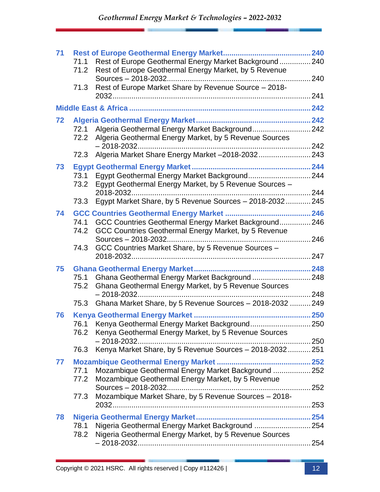| 71 |              |                                                                                                           | .240 |
|----|--------------|-----------------------------------------------------------------------------------------------------------|------|
|    | 71.1         | Rest of Europe Geothermal Energy Market Background 240                                                    |      |
|    | 71.2         | Rest of Europe Geothermal Energy Market, by 5 Revenue                                                     |      |
|    |              |                                                                                                           |      |
|    | 71.3         | Rest of Europe Market Share by Revenue Source - 2018-                                                     |      |
|    |              |                                                                                                           |      |
|    |              |                                                                                                           |      |
| 72 |              |                                                                                                           |      |
|    | 72.1<br>72.2 | Algeria Geothermal Energy Market Background 242<br>Algeria Geothermal Energy Market, by 5 Revenue Sources |      |
|    |              |                                                                                                           |      |
|    | 72.3         | Algeria Market Share Energy Market -2018-2032 243                                                         |      |
| 73 |              |                                                                                                           |      |
|    | 73.1         |                                                                                                           |      |
|    | 73.2         | Egypt Geothermal Energy Market, by 5 Revenue Sources -                                                    |      |
|    |              |                                                                                                           |      |
|    | 73.3         | Egypt Market Share, by 5 Revenue Sources - 2018-2032 245                                                  |      |
| 74 |              |                                                                                                           |      |
|    | 74.1         | GCC Countries Geothermal Energy Market Background 246                                                     |      |
|    | 74.2         | GCC Countries Geothermal Energy Market, by 5 Revenue                                                      |      |
|    | 74.3         | GCC Countries Market Share, by 5 Revenue Sources -                                                        |      |
|    |              |                                                                                                           |      |
| 75 |              |                                                                                                           |      |
|    | 75.1         | Ghana Geothermal Energy Market Background 248                                                             |      |
|    | 75.2         | Ghana Geothermal Energy Market, by 5 Revenue Sources                                                      |      |
|    |              |                                                                                                           |      |
|    | 75.3         | Ghana Market Share, by 5 Revenue Sources - 2018-2032  249                                                 |      |
| 76 |              |                                                                                                           |      |
|    |              | 76.1 Kenya Geothermal Energy Market Background250                                                         |      |
|    |              | 76.2 Kenya Geothermal Energy Market, by 5 Revenue Sources                                                 |      |
|    | 76.3         | Kenya Market Share, by 5 Revenue Sources - 2018-2032 251                                                  |      |
|    |              |                                                                                                           |      |
| 77 | 77.1         |                                                                                                           |      |
|    | 77.2         | Mozambique Geothermal Energy Market Background  252<br>Mozambique Geothermal Energy Market, by 5 Revenue  |      |
|    |              |                                                                                                           |      |
|    | 77.3         | Mozambique Market Share, by 5 Revenue Sources - 2018-                                                     |      |
|    |              |                                                                                                           |      |
| 78 |              |                                                                                                           |      |
|    | 78.1         | Nigeria Geothermal Energy Market Background  254                                                          |      |
|    | 78.2         | Nigeria Geothermal Energy Market, by 5 Revenue Sources                                                    |      |
|    |              |                                                                                                           |      |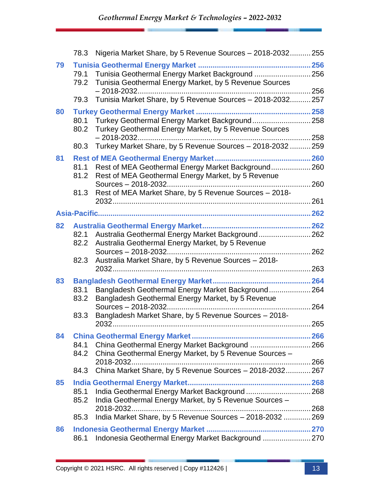|    | 78.3         | Nigeria Market Share, by 5 Revenue Sources - 2018-2032 255                                                      |  |
|----|--------------|-----------------------------------------------------------------------------------------------------------------|--|
| 79 | 79.2         | 79.1 Tunisia Geothermal Energy Market Background  256<br>Tunisia Geothermal Energy Market, by 5 Revenue Sources |  |
|    | 79.3         | Tunisia Market Share, by 5 Revenue Sources - 2018-2032 257                                                      |  |
| 80 | 80.1<br>80.2 | Turkey Geothermal Energy Market Background258<br>Turkey Geothermal Energy Market, by 5 Revenue Sources          |  |
|    | 80.3         | Turkey Market Share, by 5 Revenue Sources - 2018-2032  259                                                      |  |
| 81 | 81.2         | 81.1 Rest of MEA Geothermal Energy Market Background 260<br>Rest of MEA Geothermal Energy Market, by 5 Revenue  |  |
|    | 81.3         | Rest of MEA Market Share, by 5 Revenue Sources - 2018-                                                          |  |
|    |              |                                                                                                                 |  |
| 82 |              |                                                                                                                 |  |
|    | 82.2         | 82.1 Australia Geothermal Energy Market Background 262<br>Australia Geothermal Energy Market, by 5 Revenue      |  |
|    | 82.3         | Australia Market Share, by 5 Revenue Sources - 2018-                                                            |  |
|    |              |                                                                                                                 |  |
| 83 |              |                                                                                                                 |  |
|    | 83.1<br>83.2 | Bangladesh Geothermal Energy Market Background 264<br>Bangladesh Geothermal Energy Market, by 5 Revenue         |  |
|    | 83.3         | Bangladesh Market Share, by 5 Revenue Sources - 2018-                                                           |  |
|    |              |                                                                                                                 |  |
| 84 |              |                                                                                                                 |  |
|    | 84.1         | China Geothermal Energy Market Background  266<br>84.2 China Geothermal Energy Market, by 5 Revenue Sources -   |  |
|    |              |                                                                                                                 |  |
|    | 84.3         | China Market Share, by 5 Revenue Sources - 2018-2032 267                                                        |  |
| 85 | 85.1<br>85.2 | India Geothermal Energy Market Background  268<br>India Geothermal Energy Market, by 5 Revenue Sources -        |  |
|    | 85.3         | India Market Share, by 5 Revenue Sources - 2018-2032  269                                                       |  |
| 86 |              |                                                                                                                 |  |
|    | 86.1         | Indonesia Geothermal Energy Market Background  270                                                              |  |
|    |              |                                                                                                                 |  |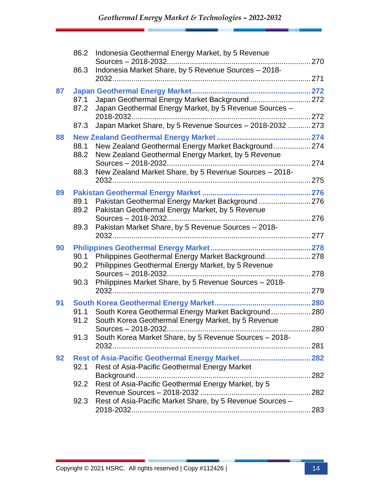| 86.3         | Sources - 2018-2032<br>Indonesia Market Share, by 5 Revenue Sources - 2018- |                                                                                                                                                                                                                                                                                                                                                                                                                                                                                                                                                                                                                                                                                                                                                                                                                                                                                                                                                                                                                  |
|--------------|-----------------------------------------------------------------------------|------------------------------------------------------------------------------------------------------------------------------------------------------------------------------------------------------------------------------------------------------------------------------------------------------------------------------------------------------------------------------------------------------------------------------------------------------------------------------------------------------------------------------------------------------------------------------------------------------------------------------------------------------------------------------------------------------------------------------------------------------------------------------------------------------------------------------------------------------------------------------------------------------------------------------------------------------------------------------------------------------------------|
|              |                                                                             |                                                                                                                                                                                                                                                                                                                                                                                                                                                                                                                                                                                                                                                                                                                                                                                                                                                                                                                                                                                                                  |
|              |                                                                             |                                                                                                                                                                                                                                                                                                                                                                                                                                                                                                                                                                                                                                                                                                                                                                                                                                                                                                                                                                                                                  |
|              |                                                                             |                                                                                                                                                                                                                                                                                                                                                                                                                                                                                                                                                                                                                                                                                                                                                                                                                                                                                                                                                                                                                  |
| 87.1<br>87.2 |                                                                             |                                                                                                                                                                                                                                                                                                                                                                                                                                                                                                                                                                                                                                                                                                                                                                                                                                                                                                                                                                                                                  |
|              |                                                                             |                                                                                                                                                                                                                                                                                                                                                                                                                                                                                                                                                                                                                                                                                                                                                                                                                                                                                                                                                                                                                  |
|              |                                                                             |                                                                                                                                                                                                                                                                                                                                                                                                                                                                                                                                                                                                                                                                                                                                                                                                                                                                                                                                                                                                                  |
| 88.1<br>88.2 |                                                                             |                                                                                                                                                                                                                                                                                                                                                                                                                                                                                                                                                                                                                                                                                                                                                                                                                                                                                                                                                                                                                  |
| 88.3         |                                                                             |                                                                                                                                                                                                                                                                                                                                                                                                                                                                                                                                                                                                                                                                                                                                                                                                                                                                                                                                                                                                                  |
|              |                                                                             |                                                                                                                                                                                                                                                                                                                                                                                                                                                                                                                                                                                                                                                                                                                                                                                                                                                                                                                                                                                                                  |
|              |                                                                             |                                                                                                                                                                                                                                                                                                                                                                                                                                                                                                                                                                                                                                                                                                                                                                                                                                                                                                                                                                                                                  |
| 89.1<br>89.2 | Pakistan Geothermal Energy Market, by 5 Revenue                             |                                                                                                                                                                                                                                                                                                                                                                                                                                                                                                                                                                                                                                                                                                                                                                                                                                                                                                                                                                                                                  |
| 89.3         |                                                                             |                                                                                                                                                                                                                                                                                                                                                                                                                                                                                                                                                                                                                                                                                                                                                                                                                                                                                                                                                                                                                  |
|              |                                                                             |                                                                                                                                                                                                                                                                                                                                                                                                                                                                                                                                                                                                                                                                                                                                                                                                                                                                                                                                                                                                                  |
|              |                                                                             |                                                                                                                                                                                                                                                                                                                                                                                                                                                                                                                                                                                                                                                                                                                                                                                                                                                                                                                                                                                                                  |
| 90.2         |                                                                             |                                                                                                                                                                                                                                                                                                                                                                                                                                                                                                                                                                                                                                                                                                                                                                                                                                                                                                                                                                                                                  |
| 90.3         |                                                                             |                                                                                                                                                                                                                                                                                                                                                                                                                                                                                                                                                                                                                                                                                                                                                                                                                                                                                                                                                                                                                  |
|              |                                                                             |                                                                                                                                                                                                                                                                                                                                                                                                                                                                                                                                                                                                                                                                                                                                                                                                                                                                                                                                                                                                                  |
|              |                                                                             |                                                                                                                                                                                                                                                                                                                                                                                                                                                                                                                                                                                                                                                                                                                                                                                                                                                                                                                                                                                                                  |
| 91.1<br>91.2 | South Korea Geothermal Energy Market, by 5 Revenue                          |                                                                                                                                                                                                                                                                                                                                                                                                                                                                                                                                                                                                                                                                                                                                                                                                                                                                                                                                                                                                                  |
|              |                                                                             |                                                                                                                                                                                                                                                                                                                                                                                                                                                                                                                                                                                                                                                                                                                                                                                                                                                                                                                                                                                                                  |
|              |                                                                             |                                                                                                                                                                                                                                                                                                                                                                                                                                                                                                                                                                                                                                                                                                                                                                                                                                                                                                                                                                                                                  |
|              |                                                                             |                                                                                                                                                                                                                                                                                                                                                                                                                                                                                                                                                                                                                                                                                                                                                                                                                                                                                                                                                                                                                  |
| 92.1         |                                                                             |                                                                                                                                                                                                                                                                                                                                                                                                                                                                                                                                                                                                                                                                                                                                                                                                                                                                                                                                                                                                                  |
|              |                                                                             |                                                                                                                                                                                                                                                                                                                                                                                                                                                                                                                                                                                                                                                                                                                                                                                                                                                                                                                                                                                                                  |
|              |                                                                             |                                                                                                                                                                                                                                                                                                                                                                                                                                                                                                                                                                                                                                                                                                                                                                                                                                                                                                                                                                                                                  |
| 92.3         |                                                                             |                                                                                                                                                                                                                                                                                                                                                                                                                                                                                                                                                                                                                                                                                                                                                                                                                                                                                                                                                                                                                  |
|              |                                                                             |                                                                                                                                                                                                                                                                                                                                                                                                                                                                                                                                                                                                                                                                                                                                                                                                                                                                                                                                                                                                                  |
|              | 87.3<br>90.1<br>91.3<br>92.2                                                | Japan Geothermal Energy Market Background  272<br>Japan Geothermal Energy Market, by 5 Revenue Sources -<br>Japan Market Share, by 5 Revenue Sources - 2018-2032  273<br>New Zealand Geothermal Energy Market Background 274<br>New Zealand Geothermal Energy Market, by 5 Revenue<br>New Zealand Market Share, by 5 Revenue Sources - 2018-<br>Pakistan Geothermal Energy Market Background 276<br>Pakistan Market Share, by 5 Revenue Sources - 2018-<br>Philippines Geothermal Energy Market Background 278<br>Philippines Geothermal Energy Market, by 5 Revenue<br>Philippines Market Share, by 5 Revenue Sources - 2018-<br>South Korea Geothermal Energy Market Background 280<br>280<br>South Korea Market Share, by 5 Revenue Sources - 2018-<br>Rest of Asia-Pacific Geothermal Energy Market 282<br>Rest of Asia-Pacific Geothermal Energy Market<br>Rest of Asia-Pacific Geothermal Energy Market, by 5<br>Revenue Sources - 2018-2032.<br>Rest of Asia-Pacific Market Share, by 5 Revenue Sources - |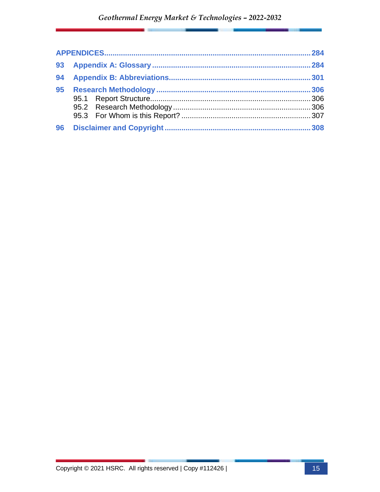| 93 |  |
|----|--|
| 94 |  |
| 95 |  |
|    |  |
|    |  |
|    |  |
| 96 |  |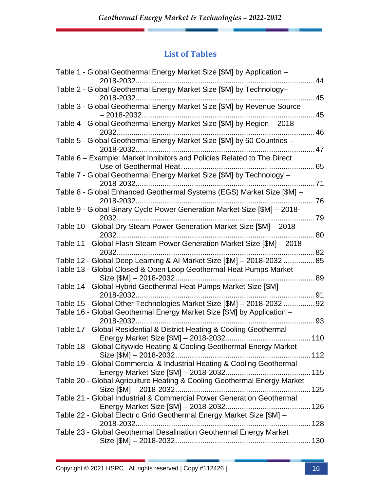#### **List of Tables**

| Table 1 - Global Geothermal Energy Market Size [\$M] by Application -                                                                        |      |
|----------------------------------------------------------------------------------------------------------------------------------------------|------|
| 2018-2032<br>Table 2 - Global Geothermal Energy Market Size [\$M] by Technology-                                                             | 44   |
| 2018-2032<br>Table 3 - Global Geothermal Energy Market Size [\$M] by Revenue Source                                                          | 45   |
|                                                                                                                                              | 45   |
| Table 4 - Global Geothermal Energy Market Size [\$M] by Region - 2018-                                                                       | 46   |
| Table 5 - Global Geothermal Energy Market Size [\$M] by 60 Countries -                                                                       | 47   |
| Table 6 - Example: Market Inhibitors and Policies Related to The Direct<br>Use of Geothermal Heat.                                           | 65   |
| Table 7 - Global Geothermal Energy Market Size [\$M] by Technology -                                                                         |      |
| Table 8 - Global Enhanced Geothermal Systems (EGS) Market Size [\$M] -                                                                       | .71  |
| 2018-2032.<br>Table 9 - Global Binary Cycle Power Generation Market Size [\$M] - 2018-                                                       | 76   |
| 2032<br>Table 10 - Global Dry Steam Power Generation Market Size [\$M] - 2018-                                                               | . 79 |
|                                                                                                                                              | 80   |
| Table 11 - Global Flash Steam Power Generation Market Size [\$M] - 2018-<br>2032                                                             | .82  |
| Table 12 - Global Deep Learning & Al Market Size [\$M] - 2018-2032 85<br>Table 13 - Global Closed & Open Loop Geothermal Heat Pumps Market   |      |
| Size [\$M] - 2018-2032                                                                                                                       | 89   |
| Table 14 - Global Hybrid Geothermal Heat Pumps Market Size [\$M] -<br>2018-2032                                                              | 91   |
| Table 15 - Global Other Technologies Market Size [\$M] - 2018-2032<br>Table 16 - Global Geothermal Energy Market Size [\$M] by Application - | 92   |
| 2018-2032.<br>Table 17 - Global Residential & District Heating & Cooling Geothermal                                                          | 93   |
| Energy Market Size [\$M] - 2018-2032                                                                                                         | 110  |
| Table 18 - Global Citywide Heating & Cooling Geothermal Energy Market<br>Size [\$M] - 2018-2032.                                             |      |
| Table 19 - Global Commercial & Industrial Heating & Cooling Geothermal                                                                       |      |
| Table 20 - Global Agriculture Heating & Cooling Geothermal Energy Market                                                                     |      |
| Table 21 - Global Industrial & Commercial Power Generation Geothermal                                                                        |      |
| Table 22 - Global Electric Grid Geothermal Energy Market Size [\$M] -                                                                        |      |
| Table 23 - Global Geothermal Desalination Geothermal Energy Market                                                                           |      |
|                                                                                                                                              |      |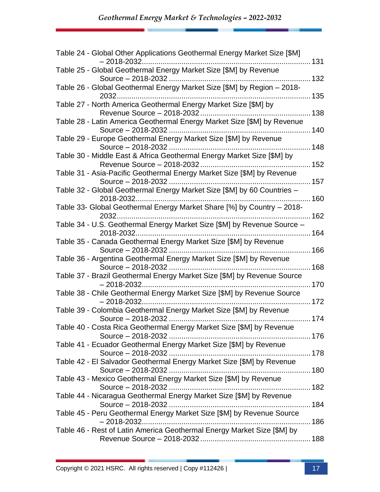| Table 24 - Global Other Applications Geothermal Energy Market Size [\$M]                  |      |
|-------------------------------------------------------------------------------------------|------|
| Table 25 - Global Geothermal Energy Market Size [\$M] by Revenue                          |      |
| Table 26 - Global Geothermal Energy Market Size [\$M] by Region - 2018-                   |      |
| 135<br>Table 27 - North America Geothermal Energy Market Size [\$M] by                    |      |
| Table 28 - Latin America Geothermal Energy Market Size [\$M] by Revenue                   | .138 |
| Table 29 - Europe Geothermal Energy Market Size [\$M] by Revenue                          |      |
| Table 30 - Middle East & Africa Geothermal Energy Market Size [\$M] by                    |      |
| Table 31 - Asia-Pacific Geothermal Energy Market Size [\$M] by Revenue                    | .152 |
| Table 32 - Global Geothermal Energy Market Size [\$M] by 60 Countries -                   |      |
|                                                                                           |      |
| Table 33- Global Geothermal Energy Market Share [%] by Country - 2018-<br>2032            |      |
| Table 34 - U.S. Geothermal Energy Market Size [\$M] by Revenue Source -                   |      |
| Table 35 - Canada Geothermal Energy Market Size [\$M] by Revenue                          |      |
| Table 36 - Argentina Geothermal Energy Market Size [\$M] by Revenue<br>Source - 2018-2032 |      |
| Table 37 - Brazil Geothermal Energy Market Size [\$M] by Revenue Source                   | .170 |
| Table 38 - Chile Geothermal Energy Market Size [\$M] by Revenue Source                    |      |
| Table 39 - Colombia Geothermal Energy Market Size [\$M] by Revenue                        |      |
| Table 40 - Costa Rica Geothermal Energy Market Size [\$M] by Revenue                      |      |
| Table 41 - Ecuador Geothermal Energy Market Size [\$M] by Revenue                         |      |
| Table 42 - El Salvador Geothermal Energy Market Size [\$M] by Revenue                     |      |
| Table 43 - Mexico Geothermal Energy Market Size [\$M] by Revenue                          |      |
| Table 44 - Nicaragua Geothermal Energy Market Size [\$M] by Revenue                       |      |
| Table 45 - Peru Geothermal Energy Market Size [\$M] by Revenue Source                     |      |
| $-2018 - 2032.$                                                                           |      |
| Table 46 - Rest of Latin America Geothermal Energy Market Size [\$M] by                   |      |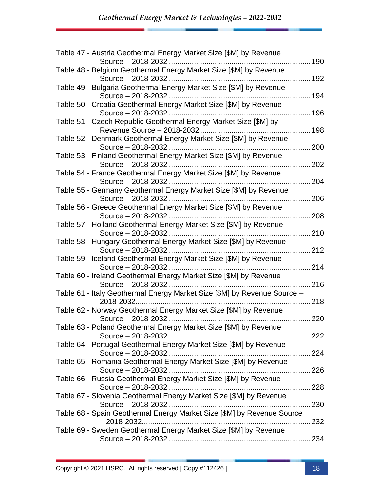| Table 47 - Austria Geothermal Energy Market Size [\$M] by Revenue                        | .190  |
|------------------------------------------------------------------------------------------|-------|
| Table 48 - Belgium Geothermal Energy Market Size [\$M] by Revenue                        |       |
|                                                                                          |       |
| Table 49 - Bulgaria Geothermal Energy Market Size [\$M] by Revenue<br>Source - 2018-2032 | 194   |
| Table 50 - Croatia Geothermal Energy Market Size [\$M] by Revenue                        |       |
| Source - 2018-2032                                                                       | 196   |
| Table 51 - Czech Republic Geothermal Energy Market Size [\$M] by                         | 198   |
| Table 52 - Denmark Geothermal Energy Market Size [\$M] by Revenue                        |       |
|                                                                                          | 200   |
| Table 53 - Finland Geothermal Energy Market Size [\$M] by Revenue                        |       |
|                                                                                          | 202   |
| Table 54 - France Geothermal Energy Market Size [\$M] by Revenue                         |       |
|                                                                                          | 204   |
|                                                                                          |       |
| Table 55 - Germany Geothermal Energy Market Size [\$M] by Revenue                        |       |
|                                                                                          | 206   |
| Table 56 - Greece Geothermal Energy Market Size [\$M] by Revenue                         |       |
|                                                                                          | 208   |
| Table 57 - Holland Geothermal Energy Market Size [\$M] by Revenue                        |       |
|                                                                                          | 210   |
| Table 58 - Hungary Geothermal Energy Market Size [\$M] by Revenue                        |       |
|                                                                                          | 212   |
| Table 59 - Iceland Geothermal Energy Market Size [\$M] by Revenue                        |       |
| Source - 2018-2032                                                                       | 214   |
| Table 60 - Ireland Geothermal Energy Market Size [\$M] by Revenue                        |       |
| Source - 2018-2032                                                                       | 216   |
| Table 61 - Italy Geothermal Energy Market Size [\$M] by Revenue Source -                 |       |
|                                                                                          | 218   |
| Table 62 - Norway Geothermal Energy Market Size [\$M] by Revenue                         |       |
|                                                                                          | 220   |
| Table 63 - Poland Geothermal Energy Market Size [\$M] by Revenue                         |       |
|                                                                                          |       |
| Table 64 - Portugal Geothermal Energy Market Size [\$M] by Revenue                       |       |
|                                                                                          |       |
| Table 65 - Romania Geothermal Energy Market Size [\$M] by Revenue                        |       |
|                                                                                          |       |
| Table 66 - Russia Geothermal Energy Market Size [\$M] by Revenue                         |       |
|                                                                                          |       |
| Table 67 - Slovenia Geothermal Energy Market Size [\$M] by Revenue                       |       |
|                                                                                          |       |
| Table 68 - Spain Geothermal Energy Market Size [\$M] by Revenue Source                   |       |
|                                                                                          | . 232 |
| Table 69 - Sweden Geothermal Energy Market Size [\$M] by Revenue                         |       |
|                                                                                          | .234  |
|                                                                                          |       |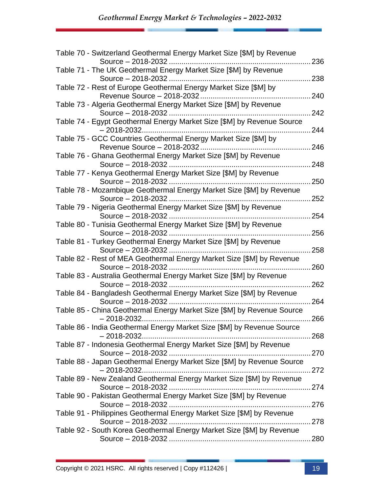| Table 70 - Switzerland Geothermal Energy Market Size [\$M] by Revenue                          | 236 |
|------------------------------------------------------------------------------------------------|-----|
| Table 71 - The UK Geothermal Energy Market Size [\$M] by Revenue                               |     |
|                                                                                                | 238 |
| Table 72 - Rest of Europe Geothermal Energy Market Size [\$M] by<br>Revenue Source - 2018-2032 | 240 |
| Table 73 - Algeria Geothermal Energy Market Size [\$M] by Revenue<br>Source - 2018-2032        | 242 |
| Table 74 - Egypt Geothermal Energy Market Size [\$M] by Revenue Source                         |     |
| Table 75 - GCC Countries Geothermal Energy Market Size [\$M] by                                | 244 |
|                                                                                                | 246 |
| Table 76 - Ghana Geothermal Energy Market Size [\$M] by Revenue<br>Source - 2018-2032          | 248 |
| Table 77 - Kenya Geothermal Energy Market Size [\$M] by Revenue                                | 250 |
| Table 78 - Mozambique Geothermal Energy Market Size [\$M] by Revenue                           |     |
|                                                                                                | 252 |
| Table 79 - Nigeria Geothermal Energy Market Size [\$M] by Revenue                              | 254 |
| Table 80 - Tunisia Geothermal Energy Market Size [\$M] by Revenue                              |     |
|                                                                                                | 256 |
| Table 81 - Turkey Geothermal Energy Market Size [\$M] by Revenue                               |     |
|                                                                                                | 258 |
| Table 82 - Rest of MEA Geothermal Energy Market Size [\$M] by Revenue                          |     |
| Source - 2018-2032                                                                             | 260 |
| Table 83 - Australia Geothermal Energy Market Size [\$M] by Revenue                            |     |
| Source - 2018-2032                                                                             | 262 |
| Table 84 - Bangladesh Geothermal Energy Market Size [\$M] by Revenue                           | 264 |
| Table 85 - China Geothermal Energy Market Size [\$M] by Revenue Source                         |     |
| $-2018 - 2032.$                                                                                | 266 |
| Table 86 - India Geothermal Energy Market Size [\$M] by Revenue Source                         |     |
|                                                                                                |     |
| Table 87 - Indonesia Geothermal Energy Market Size [\$M] by Revenue                            |     |
|                                                                                                |     |
| Table 88 - Japan Geothermal Energy Market Size [\$M] by Revenue Source                         |     |
| $-2018 - 2032.$                                                                                |     |
|                                                                                                |     |
| Table 89 - New Zealand Geothermal Energy Market Size [\$M] by Revenue                          |     |
|                                                                                                |     |
| Table 90 - Pakistan Geothermal Energy Market Size [\$M] by Revenue                             |     |
|                                                                                                |     |
| Table 91 - Philippines Geothermal Energy Market Size [\$M] by Revenue                          |     |
|                                                                                                |     |
| Table 92 - South Korea Geothermal Energy Market Size [\$M] by Revenue                          |     |
|                                                                                                |     |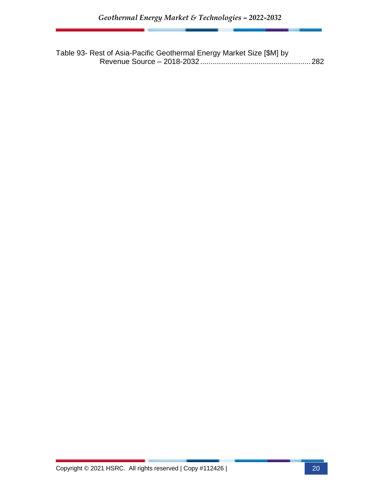Table 93- Rest of Asia-Pacific Geothermal Energy Market Size [\$M] by Revenue Source – 2018-2032.....................................................282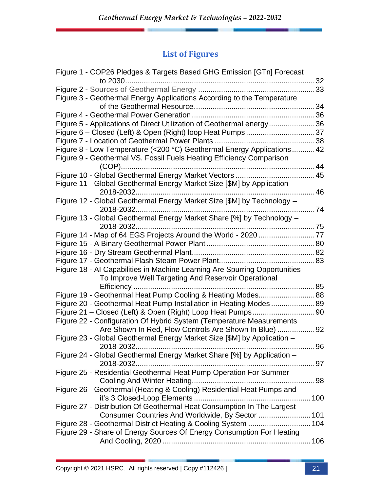### **List of Figures**

| Figure 1 - COP26 Pledges & Targets Based GHG Emission [GTn] Forecast       |  |
|----------------------------------------------------------------------------|--|
|                                                                            |  |
|                                                                            |  |
| Figure 3 - Geothermal Energy Applications According to the Temperature     |  |
|                                                                            |  |
|                                                                            |  |
| Figure 5 - Applications of Direct Utilization of Geothermal energy36       |  |
| Figure 6 – Closed (Left) & Open (Right) loop Heat Pumps37                  |  |
|                                                                            |  |
| Figure 8 - Low Temperature (<200 °C) Geothermal Energy Applications 42     |  |
| Figure 9 - Geothermal VS. Fossil Fuels Heating Efficiency Comparison       |  |
|                                                                            |  |
|                                                                            |  |
| Figure 11 - Global Geothermal Energy Market Size [\$M] by Application -    |  |
| 46                                                                         |  |
| Figure 12 - Global Geothermal Energy Market Size [\$M] by Technology -     |  |
| 74                                                                         |  |
| Figure 13 - Global Geothermal Energy Market Share [%] by Technology -      |  |
| 2018-2032                                                                  |  |
|                                                                            |  |
|                                                                            |  |
|                                                                            |  |
|                                                                            |  |
| Figure 18 - Al Capabilities in Machine Learning Are Spurring Opportunities |  |
| To Improve Well Targeting And Reservoir Operational                        |  |
|                                                                            |  |
| Figure 19 - Geothermal Heat Pump Cooling & Heating Modes88                 |  |
| Figure 20 - Geothermal Heat Pump Installation in Heating Modes89           |  |
|                                                                            |  |
| Figure 22 - Configuration Of Hybrid System (Temperature Measurements       |  |
| Are Shown In Red, Flow Controls Are Shown In Blue) 92                      |  |
| Figure 23 - Global Geothermal Energy Market Size [\$M] by Application -    |  |
|                                                                            |  |
| Figure 24 - Global Geothermal Energy Market Share [%] by Application -     |  |
| Figure 25 - Residential Geothermal Heat Pump Operation For Summer          |  |
|                                                                            |  |
| Figure 26 - Geothermal (Heating & Cooling) Residential Heat Pumps and      |  |
|                                                                            |  |
| Figure 27 - Distribution Of Geothermal Heat Consumption In The Largest     |  |
| Consumer Countries And Worldwide, By Sector  101                           |  |
|                                                                            |  |
| Figure 29 - Share of Energy Sources Of Energy Consumption For Heating      |  |
|                                                                            |  |
|                                                                            |  |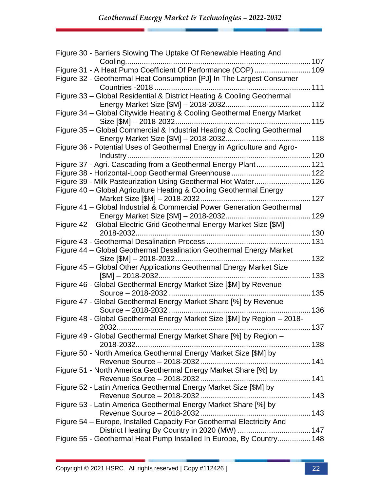| Figure 30 - Barriers Slowing The Uptake Of Renewable Heating And         |     |
|--------------------------------------------------------------------------|-----|
|                                                                          |     |
| Figure 31 - A Heat Pump Coefficient Of Performance (COP) 109             |     |
| Figure 32 - Geothermal Heat Consumption [PJ] In The Largest Consumer     |     |
|                                                                          |     |
| Figure 33 - Global Residential & District Heating & Cooling Geothermal   |     |
|                                                                          |     |
| Figure 34 - Global Citywide Heating & Cooling Geothermal Energy Market   |     |
|                                                                          |     |
| Figure 35 - Global Commercial & Industrial Heating & Cooling Geothermal  |     |
|                                                                          |     |
| Figure 36 - Potential Uses of Geothermal Energy in Agriculture and Agro- |     |
|                                                                          |     |
| Figure 37 - Agri. Cascading from a Geothermal Energy Plant 121           |     |
|                                                                          |     |
| Figure 39 - Milk Pasteurization Using Geothermal Hot Water 126           |     |
| Figure 40 - Global Agriculture Heating & Cooling Geothermal Energy       |     |
|                                                                          |     |
| Figure 41 - Global Industrial & Commercial Power Generation Geothermal   |     |
|                                                                          |     |
| Figure 42 - Global Electric Grid Geothermal Energy Market Size [\$M] -   |     |
|                                                                          |     |
|                                                                          |     |
| Figure 44 - Global Geothermal Desalination Geothermal Energy Market      |     |
|                                                                          |     |
| Figure 45 - Global Other Applications Geothermal Energy Market Size      |     |
|                                                                          |     |
| Figure 46 - Global Geothermal Energy Market Size [\$M] by Revenue        |     |
|                                                                          |     |
| Figure 47 - Global Geothermal Energy Market Share [%] by Revenue         |     |
|                                                                          |     |
| Figure 48 - Global Geothermal Energy Market Size [\$M] by Region - 2018- |     |
| 20.32                                                                    | 137 |
| Figure 49 - Global Geothermal Energy Market Share [%] by Region -        |     |
|                                                                          |     |
| Figure 50 - North America Geothermal Energy Market Size [\$M] by         |     |
|                                                                          |     |
| Figure 51 - North America Geothermal Energy Market Share [%] by          |     |
|                                                                          |     |
| Figure 52 - Latin America Geothermal Energy Market Size [\$M] by         |     |
|                                                                          |     |
| Figure 53 - Latin America Geothermal Energy Market Share [%] by          |     |
|                                                                          |     |
| Figure 54 - Europe, Installed Capacity For Geothermal Electricity And    |     |
|                                                                          |     |
| Figure 55 - Geothermal Heat Pump Installed In Europe, By Country 148     |     |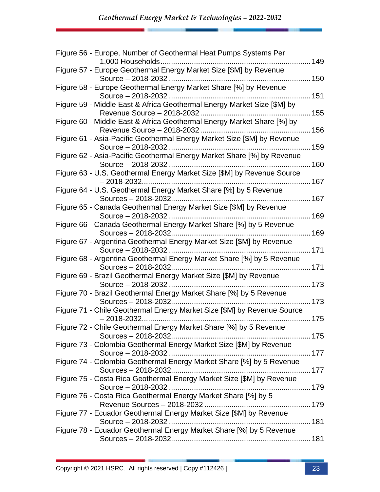| Figure 56 - Europe, Number of Geothermal Heat Pumps Systems Per                                      | .149 |
|------------------------------------------------------------------------------------------------------|------|
| Figure 57 - Europe Geothermal Energy Market Size [\$M] by Revenue                                    |      |
|                                                                                                      |      |
| Figure 58 - Europe Geothermal Energy Market Share [%] by Revenue<br>Source - 2018-2032               | 151  |
| Figure 59 - Middle East & Africa Geothermal Energy Market Size [\$M] by                              | 155  |
| Figure 60 - Middle East & Africa Geothermal Energy Market Share [%] by                               |      |
| Figure 61 - Asia-Pacific Geothermal Energy Market Size [\$M] by Revenue                              |      |
| Figure 62 - Asia-Pacific Geothermal Energy Market Share [%] by Revenue                               |      |
| Figure 63 - U.S. Geothermal Energy Market Size [\$M] by Revenue Source                               | 160  |
|                                                                                                      |      |
| Figure 64 - U.S. Geothermal Energy Market Share [%] by 5 Revenue                                     |      |
| Figure 65 - Canada Geothermal Energy Market Size [\$M] by Revenue                                    | 169  |
| Figure 66 - Canada Geothermal Energy Market Share [%] by 5 Revenue                                   |      |
| Figure 67 - Argentina Geothermal Energy Market Size [\$M] by Revenue                                 |      |
| Figure 68 - Argentina Geothermal Energy Market Share [%] by 5 Revenue<br>Sources - 2018-2032.<br>171 |      |
| Figure 69 - Brazil Geothermal Energy Market Size [\$M] by Revenue<br>Source - 2018-2032<br>173       |      |
| Figure 70 - Brazil Geothermal Energy Market Share [%] by 5 Revenue                                   |      |
| Figure 71 - Chile Geothermal Energy Market Size [\$M] by Revenue Source<br>$-2018 - 2032.$           |      |
| Figure 72 - Chile Geothermal Energy Market Share [%] by 5 Revenue                                    |      |
| Figure 73 - Colombia Geothermal Energy Market Size [\$M] by Revenue                                  |      |
| Figure 74 - Colombia Geothermal Energy Market Share [%] by 5 Revenue                                 |      |
| Figure 75 - Costa Rica Geothermal Energy Market Size [\$M] by Revenue                                |      |
| Figure 76 - Costa Rica Geothermal Energy Market Share [%] by 5                                       |      |
|                                                                                                      |      |
| Figure 77 - Ecuador Geothermal Energy Market Size [\$M] by Revenue                                   |      |
| Figure 78 - Ecuador Geothermal Energy Market Share [%] by 5 Revenue                                  |      |
|                                                                                                      |      |
|                                                                                                      |      |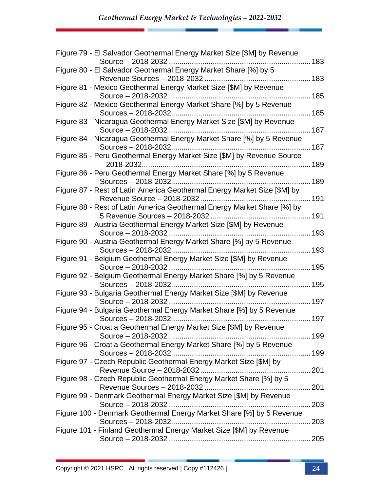| Figure 79 - El Salvador Geothermal Energy Market Size [\$M] by Revenue                                   | 183  |
|----------------------------------------------------------------------------------------------------------|------|
| Figure 80 - El Salvador Geothermal Energy Market Share [%] by 5                                          | 183  |
| Figure 81 - Mexico Geothermal Energy Market Size [\$M] by Revenue                                        |      |
| Source - 2018-2032                                                                                       | 185  |
| Figure 82 - Mexico Geothermal Energy Market Share [%] by 5 Revenue                                       | 185  |
| Figure 83 - Nicaragua Geothermal Energy Market Size [\$M] by Revenue                                     |      |
| Figure 84 - Nicaragua Geothermal Energy Market Share [%] by 5 Revenue<br>Sources - 2018-2032             | 187  |
| Figure 85 - Peru Geothermal Energy Market Size [\$M] by Revenue Source<br>$-2018 - 2032$                 | 189  |
| Figure 86 - Peru Geothermal Energy Market Share [%] by 5 Revenue                                         | 189  |
| Figure 87 - Rest of Latin America Geothermal Energy Market Size [\$M] by                                 |      |
| Figure 88 - Rest of Latin America Geothermal Energy Market Share [%] by<br>5 Revenue Sources - 2018-2032 | .191 |
| Figure 89 - Austria Geothermal Energy Market Size [\$M] by Revenue                                       | 193  |
| Figure 90 - Austria Geothermal Energy Market Share [%] by 5 Revenue                                      | 193  |
| Figure 91 - Belgium Geothermal Energy Market Size [\$M] by Revenue<br>Source - 2018-2032                 | 195  |
| Figure 92 - Belgium Geothermal Energy Market Share [%] by 5 Revenue                                      | 195  |
| Figure 93 - Bulgaria Geothermal Energy Market Size [\$M] by Revenue                                      | 197  |
| Figure 94 - Bulgaria Geothermal Energy Market Share [%] by 5 Revenue<br>Sources - 2018-2032              | 197  |
| Figure 95 - Croatia Geothermal Energy Market Size [\$M] by Revenue                                       |      |
| Figure 96 - Croatia Geothermal Energy Market Share [%] by 5 Revenue                                      |      |
| Figure 97 - Czech Republic Geothermal Energy Market Size [\$M] by                                        |      |
| Figure 98 - Czech Republic Geothermal Energy Market Share [%] by 5                                       |      |
| Figure 99 - Denmark Geothermal Energy Market Size [\$M] by Revenue                                       |      |
| Figure 100 - Denmark Geothermal Energy Market Share [%] by 5 Revenue                                     | 203  |
| Figure 101 - Finland Geothermal Energy Market Size [\$M] by Revenue                                      | 203  |
|                                                                                                          |      |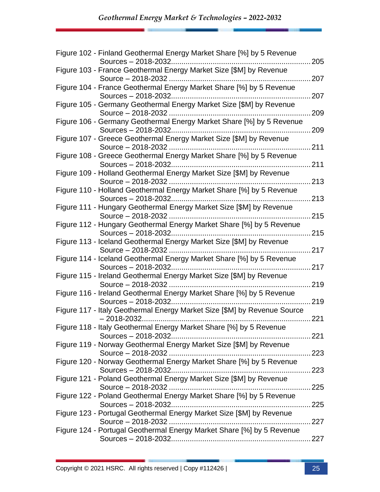| Figure 102 - Finland Geothermal Energy Market Share [%] by 5 Revenue                        | 205   |
|---------------------------------------------------------------------------------------------|-------|
| Figure 103 - France Geothermal Energy Market Size [\$M] by Revenue                          |       |
|                                                                                             | 207   |
| Figure 104 - France Geothermal Energy Market Share [%] by 5 Revenue<br>Sources - 2018-2032  | 207   |
| Figure 105 - Germany Geothermal Energy Market Size [\$M] by Revenue                         | 209   |
| Figure 106 - Germany Geothermal Energy Market Share [%] by 5 Revenue                        | 209   |
| Figure 107 - Greece Geothermal Energy Market Size [\$M] by Revenue                          |       |
| Figure 108 - Greece Geothermal Energy Market Share [%] by 5 Revenue                         | 211   |
| Sources - 2018-2032<br>Figure 109 - Holland Geothermal Energy Market Size [\$M] by Revenue  | 211   |
|                                                                                             | .213  |
| Figure 110 - Holland Geothermal Energy Market Share [%] by 5 Revenue                        | 213   |
| Figure 111 - Hungary Geothermal Energy Market Size [\$M] by Revenue<br>Source - 2018-2032   | 215   |
| Figure 112 - Hungary Geothermal Energy Market Share [%] by 5 Revenue                        | 215   |
| Figure 113 - Iceland Geothermal Energy Market Size [\$M] by Revenue                         |       |
|                                                                                             | .217  |
| Figure 114 - Iceland Geothermal Energy Market Share [%] by 5 Revenue<br>Sources - 2018-2032 | 217   |
| Figure 115 - Ireland Geothermal Energy Market Size [\$M] by Revenue                         | 219   |
| Figure 116 - Ireland Geothermal Energy Market Share [%] by 5 Revenue                        |       |
|                                                                                             | 219   |
| Figure 117 - Italy Geothermal Energy Market Size [\$M] by Revenue Source<br>$-2018 - 2032$  | 221   |
| Figure 118 - Italy Geothermal Energy Market Share [%] by 5 Revenue                          |       |
| Figure 119 - Norway Geothermal Energy Market Size [\$M] by Revenue                          |       |
| Figure 120 - Norway Geothermal Energy Market Share [%] by 5 Revenue                         |       |
| Figure 121 - Poland Geothermal Energy Market Size [\$M] by Revenue                          | .223  |
|                                                                                             |       |
| Figure 122 - Poland Geothermal Energy Market Share [%] by 5 Revenue                         |       |
| Figure 123 - Portugal Geothermal Energy Market Size [\$M] by Revenue                        |       |
|                                                                                             | . 227 |
| Figure 124 - Portugal Geothermal Energy Market Share [%] by 5 Revenue                       |       |
|                                                                                             |       |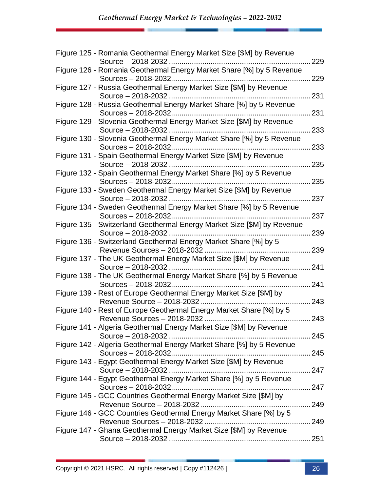| Figure 125 - Romania Geothermal Energy Market Size [\$M] by Revenue                     | 229 |
|-----------------------------------------------------------------------------------------|-----|
| Figure 126 - Romania Geothermal Energy Market Share [%] by 5 Revenue                    | 229 |
| Figure 127 - Russia Geothermal Energy Market Size [\$M] by Revenue                      |     |
| Source - 2018-2032                                                                      | 231 |
| Figure 128 - Russia Geothermal Energy Market Share [%] by 5 Revenue                     |     |
|                                                                                         | 231 |
| Figure 129 - Slovenia Geothermal Energy Market Size [\$M] by Revenue                    | 233 |
| Figure 130 - Slovenia Geothermal Energy Market Share [%] by 5 Revenue                   |     |
|                                                                                         | 233 |
| Figure 131 - Spain Geothermal Energy Market Size [\$M] by Revenue<br>Source - 2018-2032 | 235 |
| Figure 132 - Spain Geothermal Energy Market Share [%] by 5 Revenue                      |     |
| Sources - 2018-2032                                                                     | 235 |
| Figure 133 - Sweden Geothermal Energy Market Size [\$M] by Revenue                      |     |
|                                                                                         | 237 |
| Figure 134 - Sweden Geothermal Energy Market Share [%] by 5 Revenue                     |     |
| Sources - 2018-2032                                                                     | 237 |
| Figure 135 - Switzerland Geothermal Energy Market Size [\$M] by Revenue                 |     |
|                                                                                         | 239 |
| Figure 136 - Switzerland Geothermal Energy Market Share [%] by 5                        |     |
|                                                                                         | 239 |
| Figure 137 - The UK Geothermal Energy Market Size [\$M] by Revenue                      |     |
| Source - 2018-2032                                                                      | 241 |
| Figure 138 - The UK Geothermal Energy Market Share [%] by 5 Revenue                     |     |
|                                                                                         | 241 |
| Figure 139 - Rest of Europe Geothermal Energy Market Size [\$M] by                      |     |
|                                                                                         | 243 |
| Figure 140 - Rest of Europe Geothermal Energy Market Share [%] by 5                     |     |
|                                                                                         | 243 |
| Figure 141 - Algeria Geothermal Energy Market Size [\$M] by Revenue                     |     |
|                                                                                         |     |
| Figure 142 - Algeria Geothermal Energy Market Share [%] by 5 Revenue                    |     |
| Sources - 2018-2032                                                                     |     |
| Figure 143 - Egypt Geothermal Energy Market Size [\$M] by Revenue                       |     |
|                                                                                         |     |
| Figure 144 - Egypt Geothermal Energy Market Share [%] by 5 Revenue                      |     |
|                                                                                         |     |
| Figure 145 - GCC Countries Geothermal Energy Market Size [\$M] by                       |     |
|                                                                                         |     |
| Figure 146 - GCC Countries Geothermal Energy Market Share [%] by 5                      |     |
|                                                                                         |     |
| Figure 147 - Ghana Geothermal Energy Market Size [\$M] by Revenue                       |     |
|                                                                                         |     |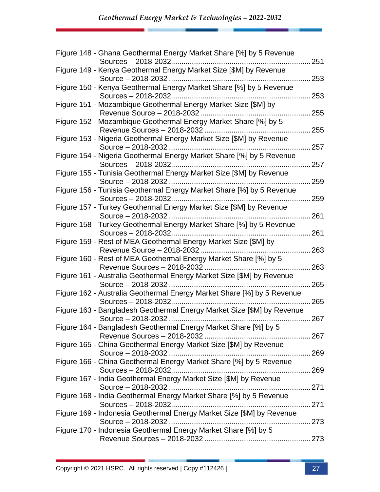| Figure 148 - Ghana Geothermal Energy Market Share [%] by 5 Revenue                                   | 251 |
|------------------------------------------------------------------------------------------------------|-----|
| Figure 149 - Kenya Geothermal Energy Market Size [\$M] by Revenue                                    |     |
|                                                                                                      | 253 |
| Figure 150 - Kenya Geothermal Energy Market Share [%] by 5 Revenue<br>Sources - 2018-2032            | 253 |
| Figure 151 - Mozambique Geothermal Energy Market Size [\$M] by<br>Revenue Source - 2018-2032         | 255 |
| Figure 152 - Mozambique Geothermal Energy Market Share [%] by 5                                      | 255 |
| Figure 153 - Nigeria Geothermal Energy Market Size [\$M] by Revenue                                  | 257 |
| Figure 154 - Nigeria Geothermal Energy Market Share [%] by 5 Revenue<br>Sources - 2018-2032          | 257 |
| Figure 155 - Tunisia Geothermal Energy Market Size [\$M] by Revenue                                  | 259 |
| Figure 156 - Tunisia Geothermal Energy Market Share [%] by 5 Revenue                                 | 259 |
| Figure 157 - Turkey Geothermal Energy Market Size [\$M] by Revenue                                   |     |
| Source - 2018-2032<br>Figure 158 - Turkey Geothermal Energy Market Share [%] by 5 Revenue            | 261 |
| Figure 159 - Rest of MEA Geothermal Energy Market Size [\$M] by                                      | 261 |
| Figure 160 - Rest of MEA Geothermal Energy Market Share [%] by 5                                     | 263 |
| Revenue Sources - 2018-2032<br>Figure 161 - Australia Geothermal Energy Market Size [\$M] by Revenue | 263 |
| Figure 162 - Australia Geothermal Energy Market Share [%] by 5 Revenue                               | 265 |
| Figure 163 - Bangladesh Geothermal Energy Market Size [\$M] by Revenue                               | 265 |
| Figure 164 - Bangladesh Geothermal Energy Market Share [%] by 5                                      | 267 |
| Figure 165 - China Geothermal Energy Market Size [\$M] by Revenue                                    |     |
| Source - 2018-2032<br>Figure 166 - China Geothermal Energy Market Share [%] by 5 Revenue             |     |
| Figure 167 - India Geothermal Energy Market Size [\$M] by Revenue                                    |     |
| Figure 168 - India Geothermal Energy Market Share [%] by 5 Revenue                                   |     |
|                                                                                                      |     |
| Figure 169 - Indonesia Geothermal Energy Market Size [\$M] by Revenue                                |     |
| Figure 170 - Indonesia Geothermal Energy Market Share [%] by 5                                       |     |
|                                                                                                      |     |